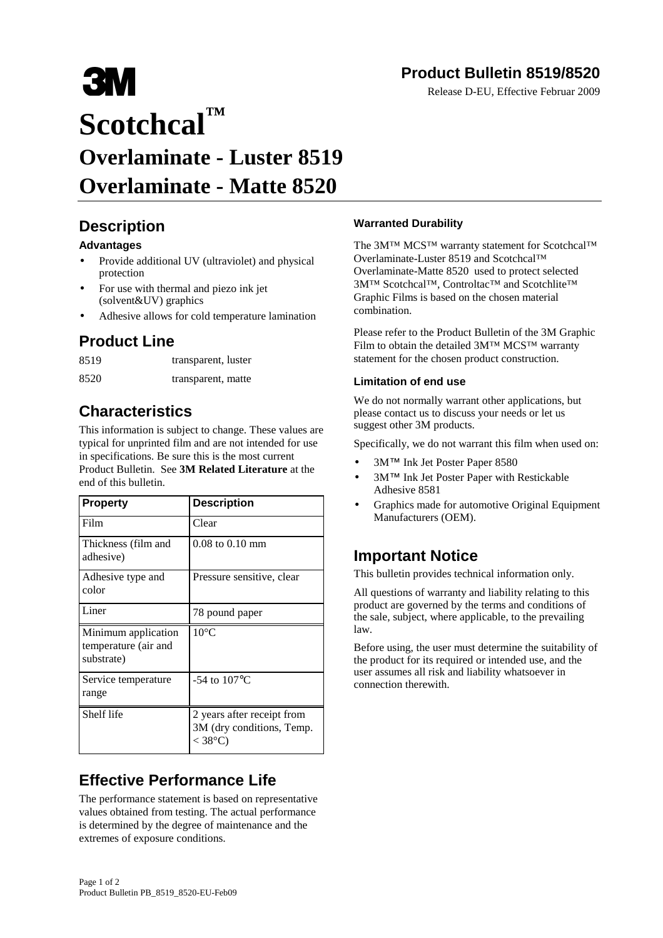# **Product Bulletin 8519/8520**

Release D-EU, Effective Februar 2009

# **3M Scotchcal™ Overlaminate - Luster 8519 Overlaminate - Matte 8520**

### **Description**

#### **Advantages**

- Provide additional UV (ultraviolet) and physical protection
- For use with thermal and piezo ink jet (solvent&UV) graphics
- Adhesive allows for cold temperature lamination

## **Product Line**

| 8519 | transparent, luster |
|------|---------------------|
| 8520 | transparent, matte  |

# **Characteristics**

This information is subject to change. These values are typical for unprinted film and are not intended for use in specifications. Be sure this is the most current Product Bulletin. See **3M Related Literature** at the end of this bulletin.

| <b>Property</b>                                           | <b>Description</b>                                                   |
|-----------------------------------------------------------|----------------------------------------------------------------------|
| Film                                                      | Clear                                                                |
| Thickness (film and<br>adhesive)                          | $0.08$ to $0.10$ mm                                                  |
| Adhesive type and<br>color                                | Pressure sensitive, clear                                            |
| Liner                                                     | 78 pound paper                                                       |
| Minimum application<br>temperature (air and<br>substrate) | $10^{\circ}$ C                                                       |
| Service temperature<br>range                              | -54 to $107^{\circ}$ C                                               |
| Shelf life                                                | 2 years after receipt from<br>3M (dry conditions, Temp.<br>$<$ 38°C) |

# **Effective Performance Life**

The performance statement is based on representative values obtained from testing. The actual performance is determined by the degree of maintenance and the extremes of exposure conditions.

#### **Warranted Durability**

The 3M™ MCS™ warranty statement for Scotchcal™ Overlaminate-Luster 8519 and Scotchcal™ Overlaminate-Matte 8520 used to protect selected 3M™ Scotchcal™, Controltac™ and Scotchlite™ Graphic Films is based on the chosen material combination.

Please refer to the Product Bulletin of the 3M Graphic Film to obtain the detailed 3M™ MCS™ warranty statement for the chosen product construction.

#### **Limitation of end use**

We do not normally warrant other applications, but please contact us to discuss your needs or let us suggest other 3M products.

Specifically, we do not warrant this film when used on:

- 3M™ Ink Jet Poster Paper 8580
- 3M™ Ink Jet Poster Paper with Restickable Adhesive 8581
- Graphics made for automotive Original Equipment Manufacturers (OEM).

#### **Important Notice**

This bulletin provides technical information only.

All questions of warranty and liability relating to this product are governed by the terms and conditions of the sale, subject, where applicable, to the prevailing law.

Before using, the user must determine the suitability of the product for its required or intended use, and the user assumes all risk and liability whatsoever in connection therewith.